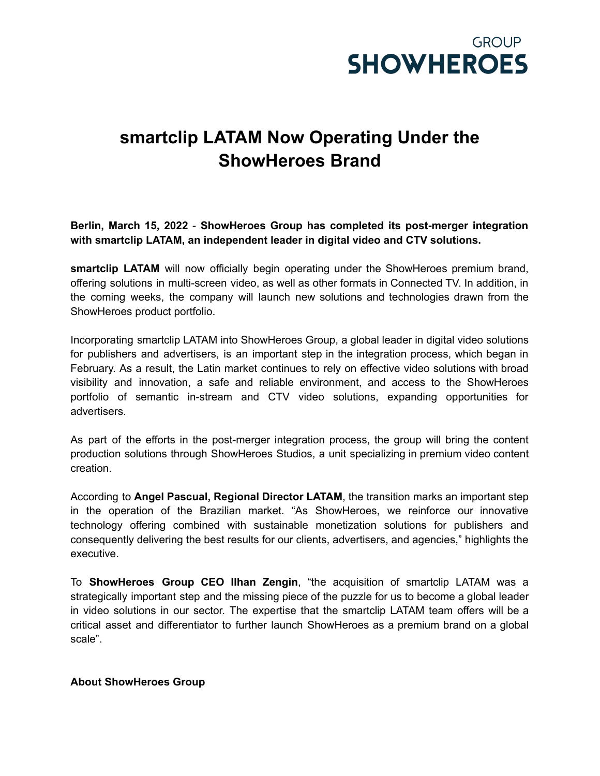

## **smartclip LATAM Now Operating Under the ShowHeroes Brand**

**Berlin, March 15, 2022** - **ShowHeroes Group has completed its post-merger integration with smartclip LATAM, an independent leader in digital video and CTV solutions.**

**smartclip LATAM** will now officially begin operating under the ShowHeroes premium brand, offering solutions in multi-screen video, as well as other formats in Connected TV. In addition, in the coming weeks, the company will launch new solutions and technologies drawn from the ShowHeroes product portfolio.

Incorporating smartclip LATAM into ShowHeroes Group, a global leader in digital video solutions for publishers and advertisers, is an important step in the integration process, which began in February. As a result, the Latin market continues to rely on effective video solutions with broad visibility and innovation, a safe and reliable environment, and access to the ShowHeroes portfolio of semantic in-stream and CTV video solutions, expanding opportunities for advertisers.

As part of the efforts in the post-merger integration process, the group will bring the content production solutions through ShowHeroes Studios, a unit specializing in premium video content creation.

According to **Angel Pascual, Regional Director LATAM**, the transition marks an important step in the operation of the Brazilian market. "As ShowHeroes, we reinforce our innovative technology offering combined with sustainable monetization solutions for publishers and consequently delivering the best results for our clients, advertisers, and agencies," highlights the executive.

To **ShowHeroes Group CEO Ilhan Zengin**, "the acquisition of smartclip LATAM was a strategically important step and the missing piece of the puzzle for us to become a global leader in video solutions in our sector. The expertise that the smartclip LATAM team offers will be a critical asset and differentiator to further launch ShowHeroes as a premium brand on a global scale".

**About ShowHeroes Group**